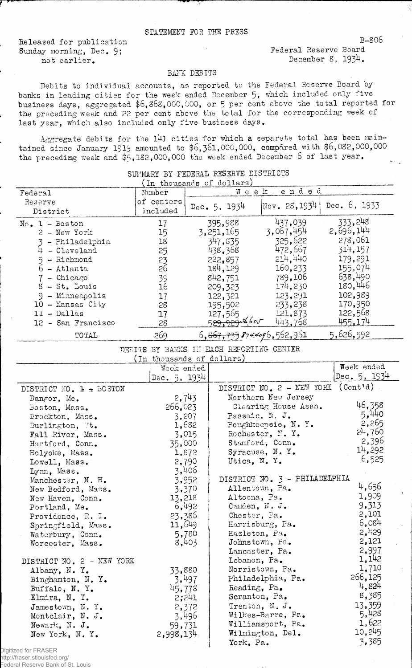## STATEMENT FOB. THE PRESS

Released for publication Sunday morning, Dec. 9; not earlier.

Federal Reserve Board December  $8$ ,  $193^4$ .

## BANK DEBITS

Debits to individual accounts, as reported to the Federal Reserve Board by banks in leading cities for the week ended December 5, which included only five business days, aggregated  $$6,86\$ , 000,000, or 5 per cent above the total reported for the preceding week and 22 per cent above the total for the corresponding week of last year, which also included only five business days.

Aggregate debits for the 141 cities for which a separete total has been maintained since January 1919 amounted to  $$6, 361, 000, 000$ , compared with  $$6, 082, 000, 000$ the preceding week and  $$5,182,000,000$  the week ended December 6 of last year.

| In thousands of dollars)                       |                        |                               |                                 |                                 |  |  |
|------------------------------------------------|------------------------|-------------------------------|---------------------------------|---------------------------------|--|--|
| Federal                                        | Number                 | ended<br>Week -               |                                 |                                 |  |  |
| Reserve<br>District                            | of centers<br>included | Dec. 5, 1934                  | Nov. $28, 1934$                 | Dec. $6, 1933$                  |  |  |
| $No. 1 - Boston$<br>2 - New York               | 17<br>15               | 395,988<br>3, 251, 165        | 437,039<br>3,067,454<br>325,622 | 333,248<br>2,696,144<br>278,061 |  |  |
| - Philadelphia<br>- Cleveland<br>$5 - Richard$ | 18<br>25<br>23         | 347,835<br>438,368<br>222,857 | 472,667<br>214,440              | 314,157<br>179,291              |  |  |
| - Atlanta<br>$-$ Chicago                       | 26                     | 184, 129<br>842,751           | 160,233<br>789,106              | 155,074<br>638,490              |  |  |
| $8 - St.$ Louis                                | 39<br>16               | 209, 323                      | 174,230                         | 180,446                         |  |  |
| - Minneapolis<br>- Kansas City<br>10.          | 17<br>28               | 122,321<br>195,502            | 123,291<br>233,238              | 102,989<br>170,950              |  |  |
| - Dallas<br>12 - San Francisco                 | 17<br>58               | 127,565<br>529,92936605       | 121,873<br>443,768              | 122,568<br>455,174              |  |  |
| TOTAL                                          | 269                    | 6, 867, 733 8744096, 562, 961 |                                 | 5,626,592                       |  |  |

SUMMARY BY FEDERAL RESERVE DISTRICTS

## DEEITS BY BANKS IN EACH REPORTING CENTER (In thousands of dollars)

|                           | Week ended     |                               | Week ended               |
|---------------------------|----------------|-------------------------------|--------------------------|
|                           | Dec. $5, 1934$ |                               | Dec. 5, $1934$           |
| DISTRICT MO. 1 + LOSTON   |                | DISTRICT NO. 2 - NEW YORK     | $($ Cont <sup>1</sup> d) |
| Bangor, Me.               | 2,743          | Northern New Jersey           |                          |
| Boston, Mass.             | 266,023        | Clearing House Assn.          | 46,358                   |
| Brockton, Mass.           | 3,207          | Passaic, N. J.                | 5,440                    |
| Burlington, It.           | 1,682          | Poughkeepsie, N.Y.            | 2,265                    |
| Fall River, Mass.         | 3,015          | Rochester, N.Y.               | 24,760                   |
| Hartford, Conn.           | 35,000         | Stamford, Conn.               | 2,396                    |
| Holyoke, Mass.            | 1,872          | Syracuse, N.Y.                | 14,292                   |
| Lowell, Mass.             | 2,790          | Utica, N.Y.                   | 6,525                    |
| Lynn, Mass.               | 3,406          |                               |                          |
| Manchester, N. H.         | 3,952          | DISTRICT NO. 3 - PHILADELPHIA |                          |
| New Bedford, Mass.        | 3,370          | Allentown, Pa.                | 4,656                    |
| New Haven, Conn.          | 13,218         | Altoona, Pa.                  | 1,909                    |
| Portland, Me.             | 6,492          | Camden, N. J.                 | 9,313                    |
| Providence, R. I.         | 23,386         | Chester, Pa.                  | 2,101                    |
| Springfield, Mass.        | 11,649         | Harrisburg, Pa.               | 6,084                    |
| Waterbury, Conn.          | 5,780          | Hazleton, Pa.                 | 2,429                    |
| Worcester, Mass.          | 8,403          | Johnstown, Pa.                | 2,121                    |
|                           |                | Lancaster, Pa.                | 2,997                    |
| DISTRICT NO. 2 - NEW YORK |                | Lebanon, Pa.                  | 1,142                    |
| Albany, N.Y.              | 33,880         | Norristown, Pa.               | 1,710                    |
| Binghamton, N.Y.          | 3,497          | Philadelphia, Pa.             | 266,125                  |
| Buffalo, N.Y.             | 45,778         | Reading, Pa.                  | 4,824                    |
| Elmira, N.Y.              | 2;241          | Scranton, Pa.                 | 8,385                    |
| Jamestown, N.Y.           | 2,372          | Trenton, N. J.                | 13,359                   |
| Montclair, N. J.          | 3,496          | Wilkes-Barre, Pa.             | 5,428                    |
| Newark, N. J.             | 59,731         | Williamsport, Pa.             | 1,622                    |
| New York, N.Y.            | 2,998,134      | Wilmington, Del.              | 10,245                   |
| Digitized for FRASER      |                | York, Pa.                     | 3,385                    |
|                           |                |                               |                          |

http://fraser.stlouisfed.org/

Federal Reserve Bank of St. Louis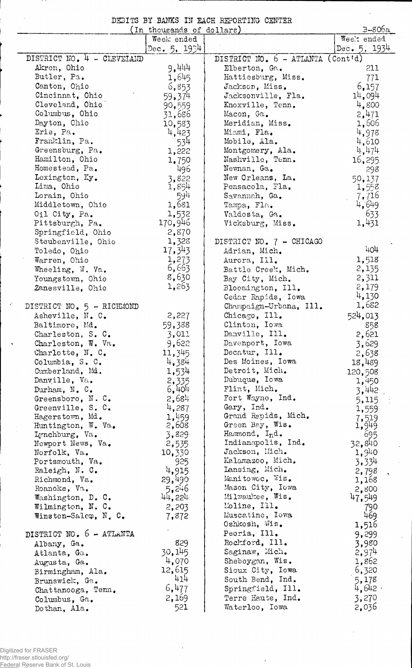|  |  | DEBITS BY BANKS IN EACH REPORTING CENTER |  |
|--|--|------------------------------------------|--|
|  |  |                                          |  |

|                                           | (In thousands of dollars) |                                                   | $B-806a$       |
|-------------------------------------------|---------------------------|---------------------------------------------------|----------------|
|                                           | Week ended                |                                                   | Week ended     |
|                                           | De <b>c.</b> 5, 1934      |                                                   | Dec. $5, 1934$ |
| DISTRICT NO. 4 - CLEVEIAND                |                           | DISTRICT NO. $6 - \text{ATLANTA} (\text{Cont'd})$ |                |
| Akron, Ohio                               | 9,444                     | Elberton, Ga.                                     | 211            |
| Butler, Pa.                               | 1,645                     | Hattiesburg, Miss.                                | 771            |
| Canton, Ohio                              | 6,853                     | Jackson, Miss.                                    | 6,157          |
| Cincinnat, Ohio                           | 59,374                    | Jacksonville, Fla.                                | 14,094         |
| Cleveland, Ohio                           | 90,559                    | Knoxville, Tenn.                                  | 4,800          |
| Columbus, Ohio                            | 31,686                    | Macon, Ga.                                        | 2,471          |
| Dayton, Ohio                              | 10,583                    | Meridian, Miss.                                   | 1,506          |
| Erie, Pa.                                 | 4,423                     | Miami, Fla.                                       | 4,978          |
| Franklin, Pa.                             | 534                       | Mobile, Ala.                                      | 4,610          |
| Greensburg, Pa.                           | 1,222                     | Montgomery, Ala.                                  | 4,474          |
| Hamilton, Ohio                            | 1,750                     | Nashville, Tenn.                                  | 16,295         |
| Homestead, Pa.                            | 496                       | Newnan, Ga.                                       | 298            |
| Lexington, Ky.                            | 3,822                     | New Orleans, La.                                  | 50,137         |
| Lima, Ohio                                | 1,854                     | Pensacola, Fla.                                   | 1,558          |
| Lorain, Ohio                              | 591                       | Savannah, Ga.                                     | 7,716          |
| Middletown, Ohio                          | 1,681                     | Tampa, Fla.                                       | 4,649          |
| Oil City, Pa.                             | 1,532                     | Valdosta, Ga.                                     | 633            |
| Pittsburgh, Pa.                           | 170,946                   | Vicksburg, Miss.                                  | 1,431          |
| Springfield, Ohio                         | 2,870                     |                                                   |                |
| Steubenville, Ohio                        | 1,328                     | DISTRICT NO. 7 - CHICAGO                          |                |
| Toledo, Ohio                              | 17,343                    | Adrian, Mich.                                     | 404            |
| Warren, Ohio                              | 1,273                     | Aurora, Ill.                                      | 1,518          |
| Wheeling, W. Va.                          | 6,663                     | Battle Creek, Mich.                               | 2,135          |
| Youngstown, Ohio                          | 8,630                     | Bay City, Mich.                                   | 2,311          |
| Zanesville, Ohio                          | 1,263                     | Bloomington, Ill.                                 | 2,179          |
|                                           |                           | Cedar Rapids, Iowa                                | 14,130         |
| DISTRICT NO. 5 - RICHMOND                 |                           | Champaign-Urbana, Ill.                            | 1,682          |
| Asheville, N. C.                          | 2,227                     | Chicago, Ill.                                     | 524,013        |
| Baltimore, Md.                            | 59,388                    | Clinton, Iowa                                     | 858            |
| Charleston, S. C.                         | 3,011                     | Danville, Ill.                                    | 2,621          |
| Charleston, W. Va.                        | 9,622                     | Davenport, Iowa                                   | 3,629          |
| Charlotte, N. C.                          | 11,345                    | Decatur, Ill.                                     | 2,638          |
| Columbia, S. C.                           | 4,384                     | Des Moines, Iowa                                  | 18,489         |
| Cumberland, Md.                           | 1,534                     | Detroit, Mich.                                    | 120,508        |
| Danville, Va.                             | 2,335                     | Dubuque, Iowa                                     | 1,450          |
| Durham, $N_{\bullet}$ C.                  | 6,401                     | Flint, Mich.                                      | 3,442          |
| Greensboro, N.C.                          | 2,684                     | Fort Wayne, Ind.                                  | 5,115          |
| Greenville, S. C.                         | 4,287                     | Gary, Ind.                                        | 1,559          |
| Hagerstown, Md.                           | 1,459                     | Grand Rapids, Mich.                               | 7,519          |
| Huntington, W. Va.                        | 2,608                     | Green Bay, Wis.                                   | 1,949          |
| Lynchburg, Va.                            | 3,829                     | Hammond, Ind.                                     | 695            |
| Newport News, Va.                         | 2,535                     | Indianapolis, Ind.                                | 32,840         |
| Norfolk, Va.                              | 10,330                    | Jackson, Mich.<br>Kalamazoo, Mich.                | 1,940          |
| Portsmouth, Va.                           | 925                       | Lansing, Mich.                                    | 3.334          |
| Raleigh, N. C.                            | 4,915                     | Manitowoc, Wis.                                   | 2,798          |
| Richmond, Va.                             | 29,490                    | Mason City, Iowa                                  | 1,168          |
| Roanoke, Va.                              | 5,246<br>44, 224          | Milwaukee, Wis.                                   | 2,800          |
| Washington, D. C.                         |                           | Moline, Ill.                                      | 47,549         |
| Wilmington, N. C.<br>Winston-Salem, N. C. | 2,203                     | Muscatine, Iowa                                   | 790<br>469     |
|                                           | 7,872                     | Oshkosh, Wis.                                     |                |
| DISTRICT NO. 6 - ATLANTA                  |                           | Peoria, Ill.                                      | 1,516<br>9,299 |
|                                           | 829                       | Rockford, Ill.                                    | 3,980          |
| Albany, Ga.                               | 30,145                    | Saginaw, Mich.                                    | 2,974          |
| Atlanta, Ga.                              | 4,070                     | Sheboygan, Wis.                                   | 1,862          |
| Augusta, Ga.                              | 12,615                    | Sioux City, Iowa                                  | 6,320          |
| Birmingham, Ala.                          | 414                       | South Bend, Ind.                                  | 5,178          |
| Brunswick, Ga.                            | 6,477                     | Springfield, Ill.                                 | 4,642          |
| Chattanooga, Tenn.                        | 2,169                     | Terre Haute, Ind.                                 | 3,270          |
| Columbus, Ga.                             | 521                       | Waterloo, Iowa                                    | 2,036          |
| Dothan, Ala.                              |                           |                                                   |                |

 $\cdot$ 

 $\lambda$